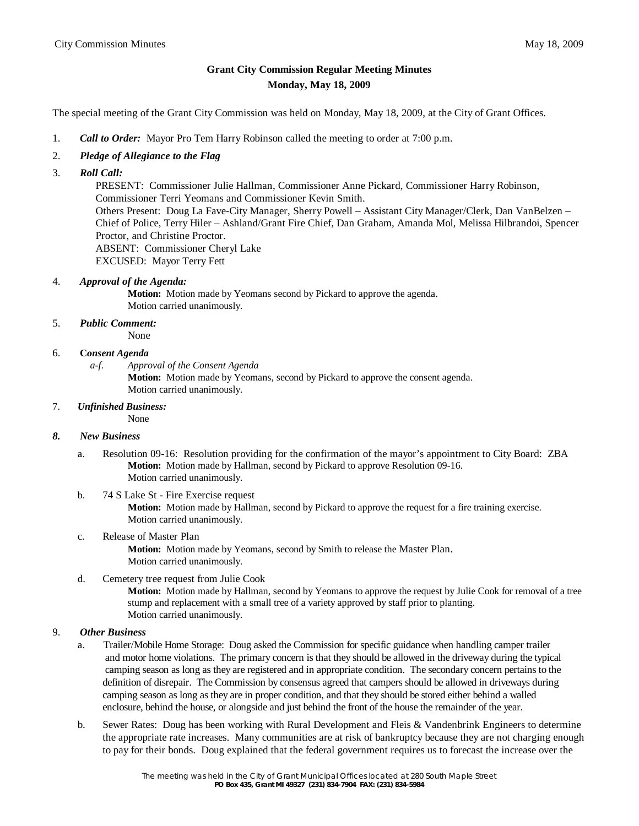# **Grant City Commission Regular Meeting Minutes Monday, May 18, 2009**

The special meeting of the Grant City Commission was held on Monday, May 18, 2009, at the City of Grant Offices.

- 1. *Call to Order:* Mayor Pro Tem Harry Robinson called the meeting to order at 7:00 p.m.
- 2. *Pledge of Allegiance to the Flag*
- 3. *Roll Call:*

 PRESENT: Commissioner Julie Hallman, Commissioner Anne Pickard, Commissioner Harry Robinson, Commissioner Terri Yeomans and Commissioner Kevin Smith. Others Present: Doug La Fave-City Manager, Sherry Powell – Assistant City Manager/Clerk, Dan VanBelzen – Chief of Police, Terry Hiler – Ashland/Grant Fire Chief, Dan Graham, Amanda Mol, Melissa Hilbrandoi, Spencer Proctor, and Christine Proctor. ABSENT: Commissioner Cheryl Lake EXCUSED: Mayor Terry Fett

4. *Approval of the Agenda:* 

**Motion:** Motion made by Yeomans second by Pickard to approve the agenda. Motion carried unanimously.

5. *Public Comment:*

None

#### 6. **C***onsent Agenda*

*a-f. Approval of the Consent Agenda*

**Motion:** Motion made by Yeomans, second by Pickard to approve the consent agenda. Motion carried unanimously.

#### 7. *Unfinished Business:*

None

### *8. New Business*

- a. Resolution 09-16: Resolution providing for the confirmation of the mayor's appointment to City Board: ZBA **Motion:** Motion made by Hallman, second by Pickard to approve Resolution 09-16. Motion carried unanimously.
- b. 74 S Lake St Fire Exercise request **Motion:** Motion made by Hallman, second by Pickard to approve the request for a fire training exercise. Motion carried unanimously.
- c. Release of Master Plan

**Motion:** Motion made by Yeomans, second by Smith to release the Master Plan. Motion carried unanimously.

d. Cemetery tree request from Julie Cook

**Motion:** Motion made by Hallman, second by Yeomans to approve the request by Julie Cook for removal of a tree stump and replacement with a small tree of a variety approved by staff prior to planting. Motion carried unanimously.

# 9. *Other Business*

- a. Trailer/Mobile Home Storage: Doug asked the Commission for specific guidance when handling camper trailer and motor home violations. The primary concern is that they should be allowed in the driveway during the typical camping season as long as they are registered and in appropriate condition. The secondary concern pertains to the definition of disrepair. The Commission by consensus agreed that campers should be allowed in driveways during camping season as long as they are in proper condition, and that they should be stored either behind a walled enclosure, behind the house, or alongside and just behind the front of the house the remainder of the year.
- b. Sewer Rates: Doug has been working with Rural Development and Fleis & Vandenbrink Engineers to determine the appropriate rate increases. Many communities are at risk of bankruptcy because they are not charging enough to pay for their bonds. Doug explained that the federal government requires us to forecast the increase over the